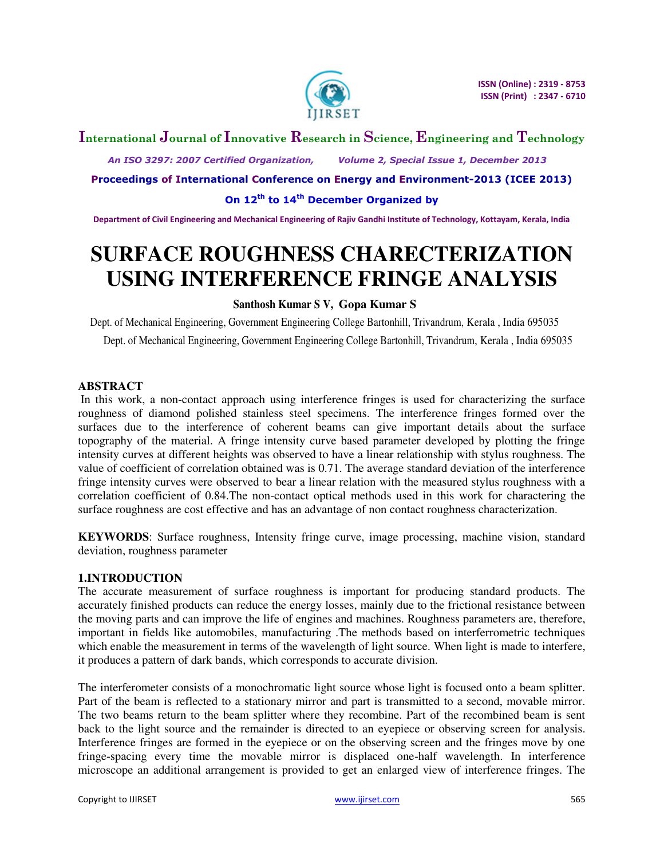

## **International Journal of Innovative Research in Science, Engineering and Technology**

 *An ISO 3297: 2007 Certified Organization, Volume 2, Special Issue 1, December 2013* 

**Proceedings of International Conference on Energy and Environment-2013 (ICEE 2013)** 

**On 12th to 14th December Organized by** 

**Department of Civil Engineering and Mechanical Engineering of Rajiv Gandhi Institute of Technology, Kottayam, Kerala, India** 

# **SURFACE ROUGHNESS CHARECTERIZATION USING INTERFERENCE FRINGE ANALYSIS**

#### **Santhosh Kumar S V, Gopa Kumar S**

Dept. of Mechanical Engineering, Government Engineering College Bartonhill, Trivandrum, Kerala , India 695035 Dept. of Mechanical Engineering, Government Engineering College Bartonhill, Trivandrum, Kerala , India 695035

#### **ABSTRACT**

In this work, a non-contact approach using interference fringes is used for characterizing the surface roughness of diamond polished stainless steel specimens. The interference fringes formed over the surfaces due to the interference of coherent beams can give important details about the surface topography of the material. A fringe intensity curve based parameter developed by plotting the fringe intensity curves at different heights was observed to have a linear relationship with stylus roughness. The value of coefficient of correlation obtained was is 0.71. The average standard deviation of the interference fringe intensity curves were observed to bear a linear relation with the measured stylus roughness with a correlation coefficient of 0.84.The non-contact optical methods used in this work for charactering the surface roughness are cost effective and has an advantage of non contact roughness characterization.

**KEYWORDS**: Surface roughness, Intensity fringe curve, image processing, machine vision, standard deviation, roughness parameter

#### **1.INTRODUCTION**

The accurate measurement of surface roughness is important for producing standard products. The accurately finished products can reduce the energy losses, mainly due to the frictional resistance between the moving parts and can improve the life of engines and machines. Roughness parameters are, therefore, important in fields like automobiles, manufacturing .The methods based on interferrometric techniques which enable the measurement in terms of the wavelength of light source. When light is made to interfere, it produces a pattern of dark bands, which corresponds to accurate division.

The interferometer consists of a monochromatic light source whose light is focused onto a beam splitter. Part of the beam is reflected to a stationary mirror and part is transmitted to a second, movable mirror. The two beams return to the beam splitter where they recombine. Part of the recombined beam is sent back to the light source and the remainder is directed to an eyepiece or observing screen for analysis. Interference fringes are formed in the eyepiece or on the observing screen and the fringes move by one fringe-spacing every time the movable mirror is displaced one-half wavelength. In interference microscope an additional arrangement is provided to get an enlarged view of interference fringes. The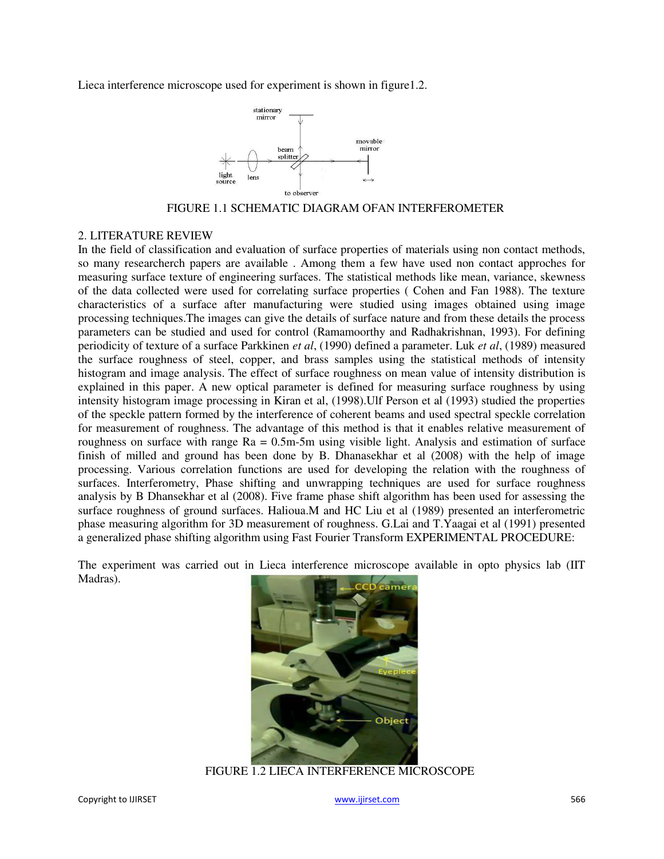Lieca interference microscope used for experiment is shown in figure1.2.



FIGURE 1.1 SCHEMATIC DIAGRAM OFAN INTERFEROMETER

#### 2. LITERATURE REVIEW

In the field of classification and evaluation of surface properties of materials using non contact methods, so many researcherch papers are available . Among them a few have used non contact approches for measuring surface texture of engineering surfaces. The statistical methods like mean, variance, skewness of the data collected were used for correlating surface properties ( Cohen and Fan 1988). The texture characteristics of a surface after manufacturing were studied using images obtained using image processing techniques.The images can give the details of surface nature and from these details the process parameters can be studied and used for control (Ramamoorthy and Radhakrishnan, 1993). For defining periodicity of texture of a surface Parkkinen *et al*, (1990) defined a parameter. Luk *et al*, (1989) measured the surface roughness of steel, copper, and brass samples using the statistical methods of intensity histogram and image analysis. The effect of surface roughness on mean value of intensity distribution is explained in this paper. A new optical parameter is defined for measuring surface roughness by using intensity histogram image processing in Kiran et al, (1998).Ulf Person et al (1993) studied the properties of the speckle pattern formed by the interference of coherent beams and used spectral speckle correlation for measurement of roughness. The advantage of this method is that it enables relative measurement of roughness on surface with range Ra = 0.5m-5m using visible light. Analysis and estimation of surface finish of milled and ground has been done by B. Dhanasekhar et al (2008) with the help of image processing. Various correlation functions are used for developing the relation with the roughness of surfaces. Interferometry, Phase shifting and unwrapping techniques are used for surface roughness analysis by B Dhansekhar et al (2008). Five frame phase shift algorithm has been used for assessing the surface roughness of ground surfaces. Halioua.M and HC Liu et al (1989) presented an interferometric phase measuring algorithm for 3D measurement of roughness. G.Lai and T.Yaagai et al (1991) presented a generalized phase shifting algorithm using Fast Fourier Transform EXPERIMENTAL PROCEDURE:

The experiment was carried out in Lieca interference microscope available in opto physics lab (IIT Madras).



FIGURE 1.2 LIECA INTERFERENCE MICROSCOPE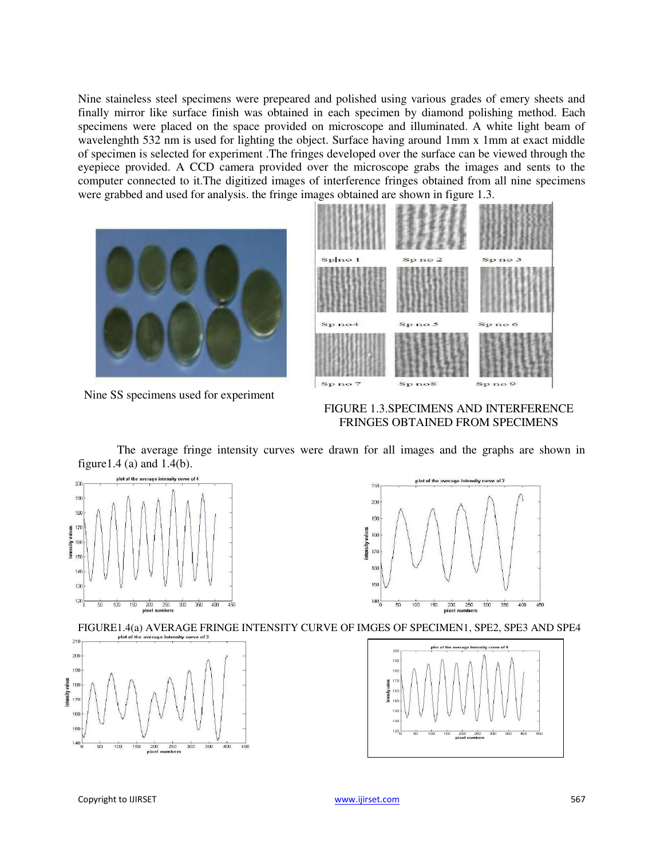Nine staineless steel specimens were prepeared and polished using various grades of emery sheets and finally mirror like surface finish was obtained in each specimen by diamond polishing method. Each specimens were placed on the space provided on microscope and illuminated. A white light beam of wavelenghth 532 nm is used for lighting the object. Surface having around 1mm x 1mm at exact middle of specimen is selected for experiment .The fringes developed over the surface can be viewed through the eyepiece provided. A CCD camera provided over the microscope grabs the images and sents to the computer connected to it.The digitized images of interference fringes obtained from all nine specimens were grabbed and used for analysis. the fringe images obtained are shown in figure 1.3.



Nine SS specimens used for experiment



FIGURE 1.3.SPECIMENS AND INTERFERENCE FRINGES OBTAINED FROM SPECIMENS

The average fringe intensity curves were drawn for all images and the graphs are shown in figure1.4 (a) and 1.4(b).







FIGURE1.4(a) AVERAGE FRINGE INTENSITY CURVE OF IMGES OF SPECIMEN1, SPE2, SPE3 AND SPE4

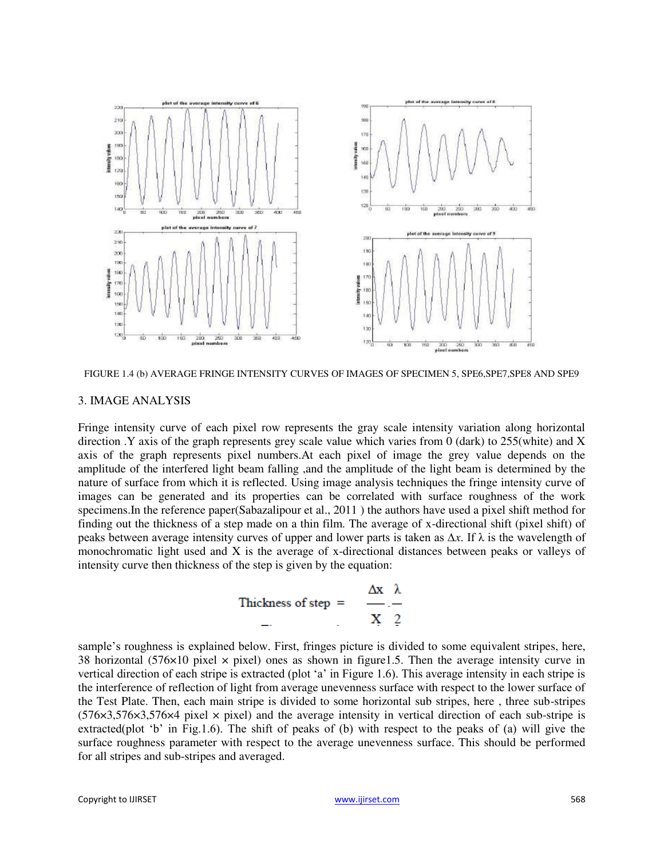

FIGURE 1.4 (b) AVERAGE FRINGE INTENSITY CURVES OF IMAGES OF SPECIMEN 5, SPE6,SPE7,SPE8 AND SPE9

#### 3. IMAGE ANALYSIS

Fringe intensity curve of each pixel row represents the gray scale intensity variation along horizontal direction .Y axis of the graph represents grey scale value which varies from 0 (dark) to 255(white) and X axis of the graph represents pixel numbers.At each pixel of image the grey value depends on the amplitude of the interfered light beam falling ,and the amplitude of the light beam is determined by the nature of surface from which it is reflected. Using image analysis techniques the fringe intensity curve of images can be generated and its properties can be correlated with surface roughness of the work specimens.In the reference paper(Sabazalipour et al., 2011 ) the authors have used a pixel shift method for finding out the thickness of a step made on a thin film. The average of x-directional shift (pixel shift) of peaks between average intensity curves of upper and lower parts is taken as ∆*x*. If Ȝ is the wavelength of monochromatic light used and X is the average of x-directional distances between peaks or valleys of intensity curve then thickness of the step is given by the equation:

Thekeness of step = 
$$
\frac{\Delta x}{X} \cdot \frac{\lambda}{2}
$$

sample's roughness is explained below. First, fringes picture is divided to some equivalent stripes, here, 38 horizontal (576 $\times$ 10 pixel  $\times$  pixel) ones as shown in figure1.5. Then the average intensity curve in vertical direction of each stripe is extracted (plot 'a' in Figure 1.6). This average intensity in each stripe is the interference of reflection of light from average unevenness surface with respect to the lower surface of the Test Plate. Then, each main stripe is divided to some horizontal sub stripes, here , three sub-stripes  $(576\times3,576\times3,576\times4$  pixel  $\times$  pixel) and the average intensity in vertical direction of each sub-stripe is extracted(plot 'b' in Fig.1.6). The shift of peaks of (b) with respect to the peaks of (a) will give the surface roughness parameter with respect to the average unevenness surface. This should be performed for all stripes and sub-stripes and averaged.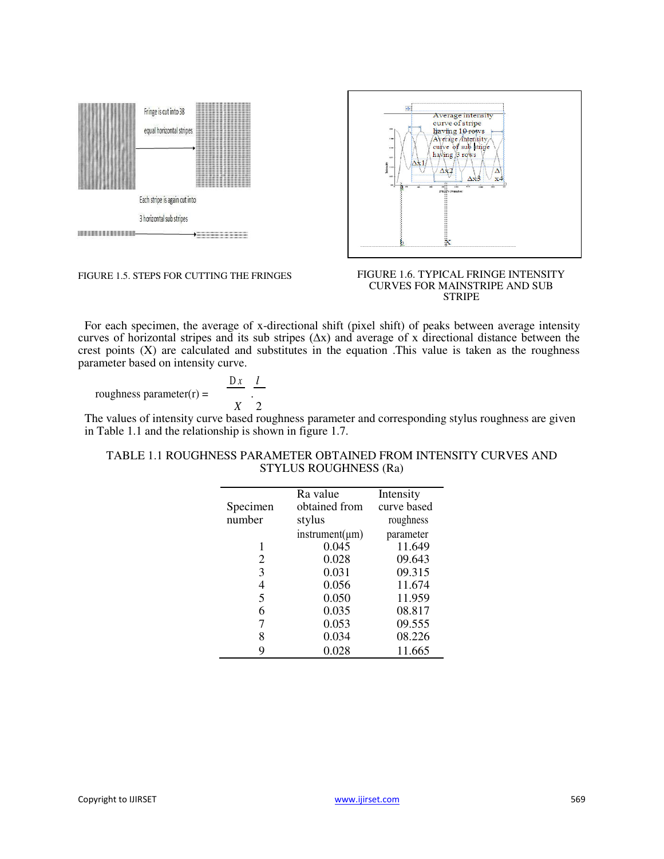

FIGURE 1.5. STEPS FOR CUTTING THE FRINGES



#### FIGURE 1.6. TYPICAL FRINGE INTENSITY CURVES FOR MAINSTRIPE AND SUB STRIPE

For each specimen, the average of x-directional shift (pixel shift) of peaks between average intensity curves of horizontal stripes and its sub stripes (∆x) and average of x directional distance between the crest points  $(X)$  are calculated and substitutes in the equation. This value is taken as the roughness parameter based on intensity curve.

roughness parameter $(r)$  =

$$
\frac{\mathbf{D}x}{X} \cdot \frac{l}{2}
$$

The values of intensity curve based roughness parameter and corresponding stylus roughness are given in Table 1.1 and the relationship is shown in figure 1.7.

#### TABLE 1.1 ROUGHNESS PARAMETER OBTAINED FROM INTENSITY CURVES AND STYLUS ROUGHNESS (Ra)

|          | Ra value            | Intensity   |
|----------|---------------------|-------------|
| Specimen | obtained from       | curve based |
| number   | stylus              | roughness   |
|          | $instrument(\mu m)$ | parameter   |
|          | 0.045               | 11.649      |
| 2        | 0.028               | 09.643      |
| 3        | 0.031               | 09.315      |
| 4        | 0.056               | 11.674      |
| 5        | 0.050               | 11.959      |
| 6        | 0.035               | 08.817      |
| 7        | 0.053               | 09.555      |
| 8        | 0.034               | 08.226      |
| 9        | 0.028               | 11.665      |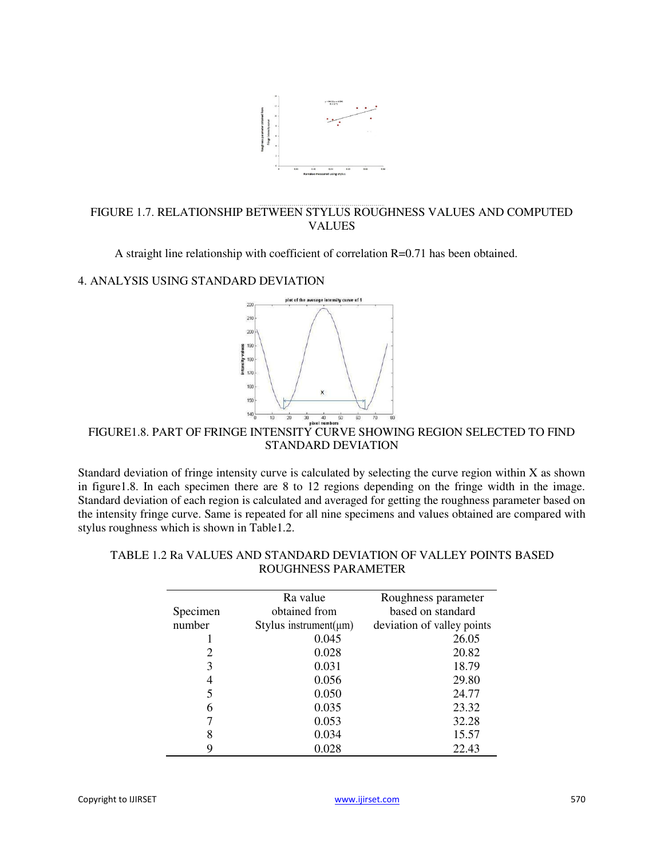

#### FIGURE 1.7. RELATIONSHIP BETWEEN STYLUS ROUGHNESS VALUES AND COMPUTED VALUES

A straight line relationship with coefficient of correlation R=0.71 has been obtained.

#### 4. ANALYSIS USING STANDARD DEVIATION



### FIGURE1.8. PART OF FRINGE INTENSITY CURVE SHOWING REGION SELECTED TO FIND STANDARD DEVIATION

Standard deviation of fringe intensity curve is calculated by selecting the curve region within X as shown in figure1.8. In each specimen there are 8 to 12 regions depending on the fringe width in the image. Standard deviation of each region is calculated and averaged for getting the roughness parameter based on the intensity fringe curve. Same is repeated for all nine specimens and values obtained are compared with stylus roughness which is shown in Table1.2.

|          | Ra value                    | Roughness parameter        |
|----------|-----------------------------|----------------------------|
| Specimen | obtained from               | based on standard          |
| number   | Stylus instrument( $\mu$ m) | deviation of valley points |
|          | 0.045                       | 26.05                      |
| 2        | 0.028                       | 20.82                      |
| 3        | 0.031                       | 18.79                      |
| 4        | 0.056                       | 29.80                      |
| 5        | 0.050                       | 24.77                      |
| 6        | 0.035                       | 23.32                      |
|          | 0.053                       | 32.28                      |
| 8        | 0.034                       | 15.57                      |
|          | 0.028                       | 22.43                      |

#### TABLE 1.2 Ra VALUES AND STANDARD DEVIATION OF VALLEY POINTS BASED ROUGHNESS PARAMETER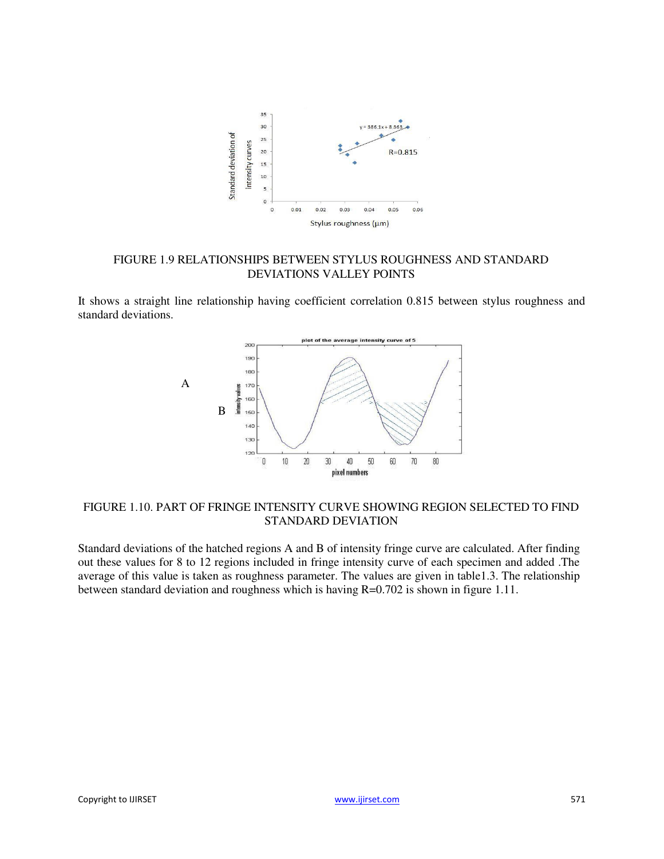

#### FIGURE 1.9 RELATIONSHIPS BETWEEN STYLUS ROUGHNESS AND STANDARD DEVIATIONS VALLEY POINTS

It shows a straight line relationship having coefficient correlation 0.815 between stylus roughness and standard deviations.



#### FIGURE 1.10. PART OF FRINGE INTENSITY CURVE SHOWING REGION SELECTED TO FIND STANDARD DEVIATION

Standard deviations of the hatched regions A and B of intensity fringe curve are calculated. After finding out these values for 8 to 12 regions included in fringe intensity curve of each specimen and added .The average of this value is taken as roughness parameter. The values are given in table1.3. The relationship between standard deviation and roughness which is having R=0.702 is shown in figure 1.11.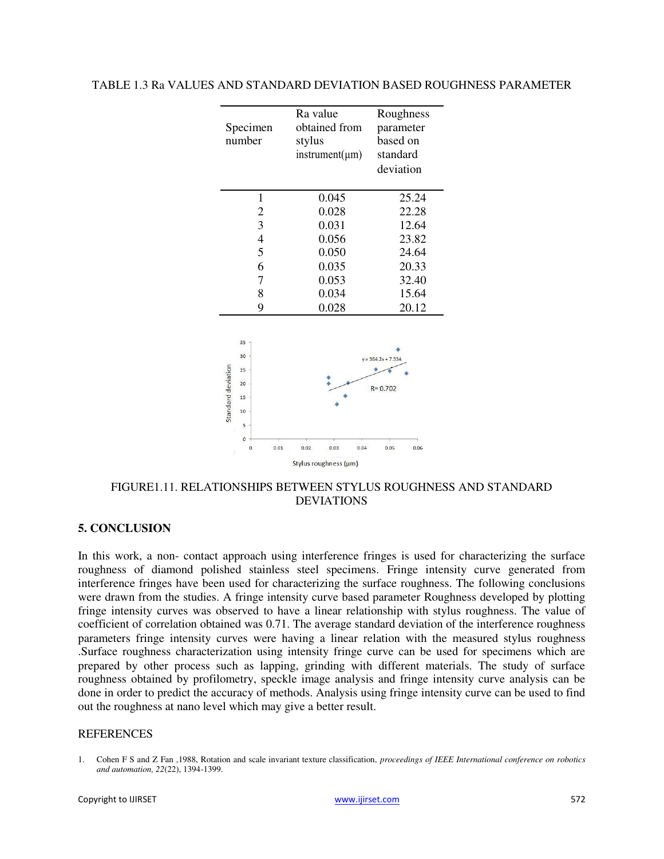#### TABLE 1.3 Ra VALUES AND STANDARD DEVIATION BASED ROUGHNESS PARAMETER



FIGURE1.11. RELATIONSHIPS BETWEEN STYLUS ROUGHNESS AND STANDARD DEVIATIONS

#### **5. CONCLUSION**

In this work, a non- contact approach using interference fringes is used for characterizing the surface roughness of diamond polished stainless steel specimens. Fringe intensity curve generated from interference fringes have been used for characterizing the surface roughness. The following conclusions were drawn from the studies. A fringe intensity curve based parameter Roughness developed by plotting fringe intensity curves was observed to have a linear relationship with stylus roughness. The value of coefficient of correlation obtained was 0.71. The average standard deviation of the interference roughness parameters fringe intensity curves were having a linear relation with the measured stylus roughness .Surface roughness characterization using intensity fringe curve can be used for specimens which are prepared by other process such as lapping, grinding with different materials. The study of surface roughness obtained by profilometry, speckle image analysis and fringe intensity curve analysis can be done in order to predict the accuracy of methods. Analysis using fringe intensity curve can be used to find out the roughness at nano level which may give a better result.

#### **REFERENCES**

<sup>1.</sup> Cohen F S and Z Fan ,1988, Rotation and scale invariant texture classification, *proceedings of IEEE International conference on robotics and automation, 22*(22), 1394-1399.